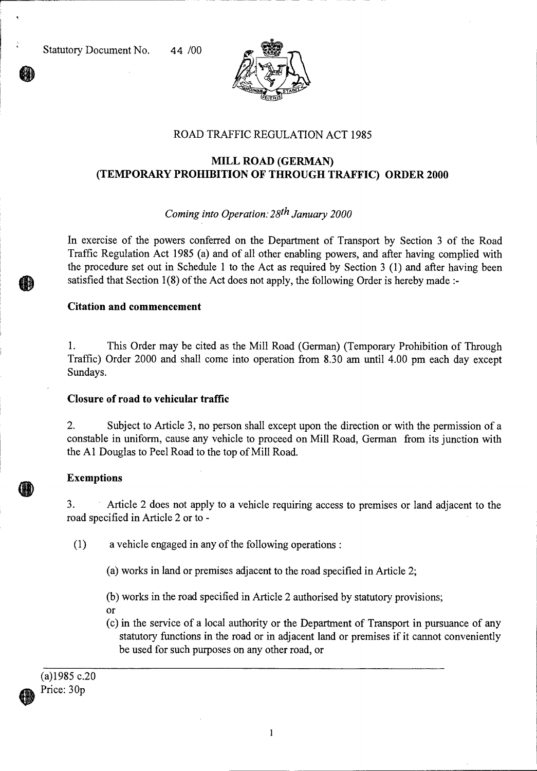

# ROAD TRAFFIC REGULATION ACT 1985

# **MILL ROAD (GERMAN) (TEMPORARY PROHIBITION OF THROUGH TRAFFIC) ORDER 2000**

### *Coming into Operation: 28th January 2000*

In exercise of the powers conferred on the Department of Transport by Section 3 of the Road Traffic Regulation Act 1985 (a) and of all other enabling powers, and after having complied with the procedure set out in Schedule 1 to the Act as required by Section 3 (1) and after having been satisfied that Section 1(8) of the Act does not apply, the following Order is hereby made :-

#### **Citation and commencement**

1. This Order may be cited as the Mill Road (German) (Temporary Prohibition of Through Traffic) Order 2000 and shall come into operation from 8.30 am until 4.00 pm each day except Sundays.

### **Closure of road to vehicular traffic**

2. Subject to Article 3, no person shall except upon the direction or with the permission of a constable in uniform, cause any vehicle to proceed on Mill Road, German from its junction with the Al Douglas to Peel Road to the top of Mill Road.

### **Exemptions**

3. Article 2 does not apply to a vehicle requiring access to premises or land adjacent to the road specified in Article 2 or to -

(1) a vehicle engaged in any of the following operations :

(a) works in land or premises adjacent to the road specified in Article 2;

(b) works in the road specified in Article 2 authorised by statutory provisions;

- Or
- (c) in the service of a local authority or the Department of Transport in pursuance of any statutory functions in the road or in adjacent land or premises if it cannot conveniently be used for such purposes on any other road, or

(a)1985 c.20 Price: 30p